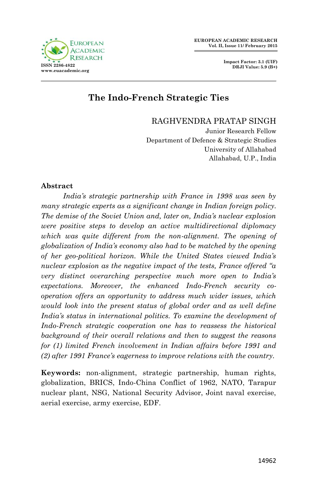

# **The Indo-French Strategic Ties**

RAGHVENDRA PRATAP SINGH

Junior Research Fellow Department of Defence & Strategic Studies University of Allahabad Allahabad, U.P., India

#### **Abstract**

 *India's strategic partnership with France in 1998 was seen by many strategic experts as a significant change in Indian foreign policy. The demise of the Soviet Union and, later on, India's nuclear explosion were positive steps to develop an active multidirectional diplomacy which was quite different from the non-alignment. The opening of globalization of India's economy also had to be matched by the opening of her geo-political horizon. While the United States viewed India's nuclear explosion as the negative impact of the tests, France offered "a very distinct overarching perspective much more open to India's expectations. Moreover, the enhanced Indo-French security cooperation offers an opportunity to address much wider issues, which would look into the present status of global order and as well define*  India's status in international politics. To examine the development of *Indo-French strategic cooperation one has to reassess the historical background of their overall relations and then to suggest the reasons for (1) limited French involvement in Indian affairs before 1991 and (2) after 1991 France's eagerness to improve relations with the country.*

**Keywords:** non-alignment, strategic partnership, human rights, globalization, BRICS, Indo-China Conflict of 1962, NATO, Tarapur nuclear plant, NSG, National Security Advisor, Joint naval exercise, aerial exercise, army exercise, EDF.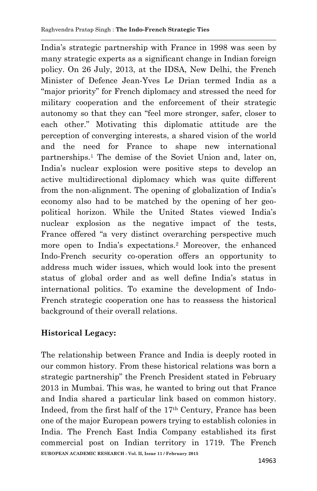India's strategic partnership with France in 1998 was seen by many strategic experts as a significant change in Indian foreign policy. On 26 July, 2013, at the IDSA, New Delhi, the French Minister of Defence Jean-Yves Le Drian termed India as a "major priority" for French diplomacy and stressed the need for military cooperation and the enforcement of their strategic autonomy so that they can "feel more stronger, safer, closer to each other." Motivating this diplomatic attitude are the perception of converging interests, a shared vision of the world and the need for France to shape new international partnerships. <sup>1</sup> The demise of the Soviet Union and, later on, India's nuclear explosion were positive steps to develop an active multidirectional diplomacy which was quite different from the non-alignment. The opening of globalization of India's economy also had to be matched by the opening of her geopolitical horizon. While the United States viewed India's nuclear explosion as the negative impact of the tests, France offered "a very distinct overarching perspective much more open to India's expectations.<sup>2</sup> Moreover, the enhanced Indo-French security co-operation offers an opportunity to address much wider issues, which would look into the present status of global order and as well define India's status in international politics. To examine the development of Indo-French strategic cooperation one has to reassess the historical background of their overall relations.

# **Historical Legacy:**

**EUROPEAN ACADEMIC RESEARCH - Vol. II, Issue 11 / February 2015** The relationship between France and India is deeply rooted in our common history. From these historical relations was born a strategic partnership" the French President stated in February 2013 in Mumbai. This was, he wanted to bring out that France and India shared a particular link based on common history. Indeed, from the first half of the 17th Century, France has been one of the major European powers trying to establish colonies in India. The French East India Company established its first commercial post on Indian territory in 1719. The French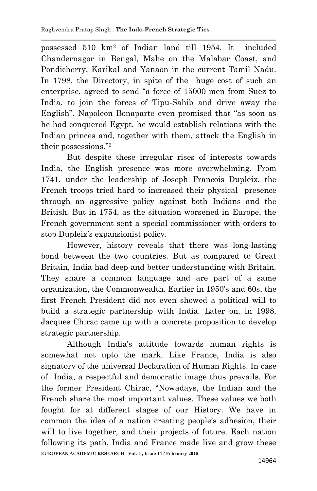possessed 510 km<sup>2</sup> of Indian land till 1954. It included Chandernagor in Bengal, Mahe on the Malabar Coast, and Pondicherry, Karikal and Yanaon in the current Tamil Nadu. In 1798, the Directory, in spite of the huge cost of such an enterprise, agreed to send "a force of 15000 men from Suez to India, to join the forces of Tipu-Sahib and drive away the English". Napoleon Bonaparte even promised that "as soon as he had conquered Egypt, he would establish relations with the Indian princes and, together with them, attack the English in their possessions."<sup>3</sup>

 But despite these irregular rises of interests towards India, the English presence was more overwhelming. From 1741, under the leadership of Joseph Francois Dupleix, the French troops tried hard to increased their physical presence through an aggressive policy against both Indians and the British. But in 1754, as the situation worsened in Europe, the French government sent a special commissioner with orders to stop Dupleix's expansionist policy.

 However, history reveals that there was long-lasting bond between the two countries. But as compared to Great Britain, India had deep and better understanding with Britain. They share a common language and are part of a same organization, the Commonwealth. Earlier in 1950's and 60s, the first French President did not even showed a political will to build a strategic partnership with India. Later on, in 1998, Jacques Chirac came up with a concrete proposition to develop strategic partnership.

**EUROPEAN ACADEMIC RESEARCH - Vol. II, Issue 11 / February 2015** Although India's attitude towards human rights is somewhat not upto the mark. Like France, India is also signatory of the universal Declaration of Human Rights. In case of India, a respectful and democratic image thus prevails. For the former President Chirac, "Nowadays, the Indian and the French share the most important values. These values we both fought for at different stages of our History. We have in common the idea of a nation creating people's adhesion, their will to live together, and their projects of future. Each nation following its path, India and France made live and grow these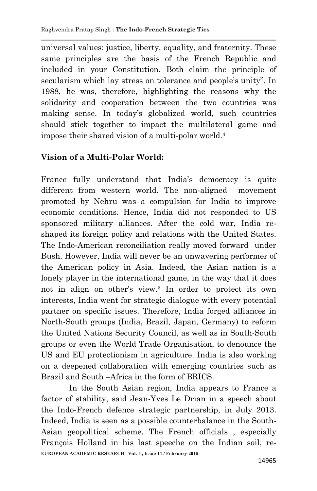universal values: justice, liberty, equality, and fraternity. These same principles are the basis of the French Republic and included in your Constitution. Both claim the principle of secularism which lay stress on tolerance and people's unity". In 1988, he was, therefore, highlighting the reasons why the solidarity and cooperation between the two countries was making sense. In today's globalized world, such countries should stick together to impact the multilateral game and impose their shared vision of a multi-polar world.<sup>4</sup>

# **Vision of a Multi-Polar World:**

France fully understand that India's democracy is quite different from western world. The non-aligned movement promoted by Nehru was a compulsion for India to improve economic conditions. Hence, India did not responded to US sponsored military alliances. After the cold war, India reshaped its foreign policy and relations with the United States. The Indo-American reconciliation really moved forward under Bush. However, India will never be an unwavering performer of the American policy in Asia. Indeed, the Asian nation is a lonely player in the international game, in the way that it does not in align on other's view.<sup>5</sup> In order to protect its own interests, India went for strategic dialogue with every potential partner on specific issues. Therefore, India forged alliances in North-South groups (India, Brazil, Japan, Germany) to reform the United Nations Security Council, as well as in South-South groups or even the World Trade Organisation, to denounce the US and EU protectionism in agriculture. India is also working on a deepened collaboration with emerging countries such as Brazil and South –Africa in the form of BRICS.

**EUROPEAN ACADEMIC RESEARCH - Vol. II, Issue 11 / February 2015** In the South Asian region, India appears to France a factor of stability, said Jean-Yves Le Drian in a speech about the Indo-French defence strategic partnership, in July 2013. Indeed, India is seen as a possible counterbalance in the South-Asian geopolitical scheme. The French officials , especially François Holland in his last speeche on the Indian soil, re-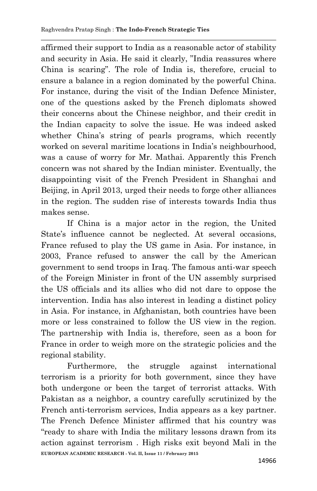affirmed their support to India as a reasonable actor of stability and security in Asia. He said it clearly, "India reassures where China is scaring". The role of India is, therefore, crucial to ensure a balance in a region dominated by the powerful China. For instance, during the visit of the Indian Defence Minister, one of the questions asked by the French diplomats showed their concerns about the Chinese neighbor, and their credit in the Indian capacity to solve the issue. He was indeed asked whether China's string of pearls programs, which recently worked on several maritime locations in India's neighbourhood, was a cause of worry for Mr. Mathai. Apparently this French concern was not shared by the Indian minister. Eventually, the disappointing visit of the French President in Shanghai and Beijing, in April 2013, urged their needs to forge other alliances in the region. The sudden rise of interests towards India thus makes sense.

 If China is a major actor in the region, the United State's influence cannot be neglected. At several occasions, France refused to play the US game in Asia. For instance, in 2003, France refused to answer the call by the American government to send troops in Iraq. The famous anti-war speech of the Foreign Minister in front of the UN assembly surprised the US officials and its allies who did not dare to oppose the intervention. India has also interest in leading a distinct policy in Asia. For instance, in Afghanistan, both countries have been more or less constrained to follow the US view in the region. The partnership with India is, therefore, seen as a boon for France in order to weigh more on the strategic policies and the regional stability.

**EUROPEAN ACADEMIC RESEARCH - Vol. II, Issue 11 / February 2015** Furthermore, the struggle against international terrorism is a priority for both government, since they have both undergone or been the target of terrorist attacks. With Pakistan as a neighbor, a country carefully scrutinized by the French anti-terrorism services, India appears as a key partner. The French Defence Minister affirmed that his country was "ready to share with India the military lessons drawn from its action against terrorism . High risks exit beyond Mali in the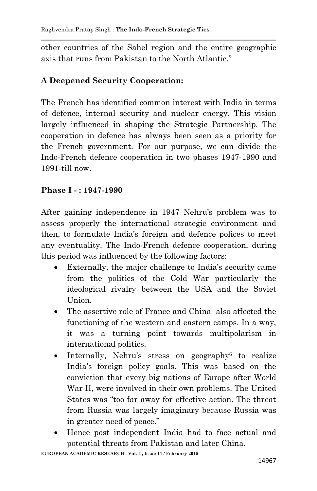other countries of the Sahel region and the entire geographic axis that runs from Pakistan to the North Atlantic."

### **A Deepened Security Cooperation:**

The French has identified common interest with India in terms of defence, internal security and nuclear energy. This vision largely influenced in shaping the Strategic Partnership. The cooperation in defence has always been seen as a priority for the French government. For our purpose, we can divide the Indo-French defence cooperation in two phases 1947-1990 and 1991-till now.

### **Phase I - : 1947-1990**

After gaining independence in 1947 Nehru's problem was to assess properly the international strategic environment and then, to formulate India's foreign and defence polices to meet any eventuality. The Indo-French defence cooperation, during this period was influenced by the following factors:

- Externally, the major challenge to India's security came from the politics of the Cold War particularly the ideological rivalry between the USA and the Soviet Union.
- The assertive role of France and China also affected the functioning of the western and eastern camps. In a way, it was a turning point towards multipolarism in international politics.
- Internally, Nehru's stress on geography<sup>6</sup> to realize India's foreign policy goals. This was based on the conviction that every big nations of Europe after World War II, were involved in their own problems. The United States was "too far away for effective action. The threat from Russia was largely imaginary because Russia was in greater need of peace."
- Hence post independent India had to face actual and potential threats from Pakistan and later China.

**EUROPEAN ACADEMIC RESEARCH - Vol. II, Issue 11 / February 2015**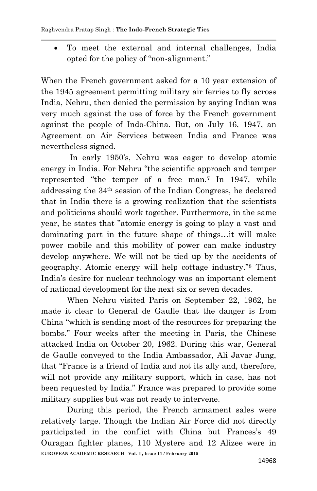To meet the external and internal challenges, India opted for the policy of "non-alignment."

When the French government asked for a 10 year extension of the 1945 agreement permitting military air ferries to fly across India, Nehru, then denied the permission by saying Indian was very much against the use of force by the French government against the people of Indo-China. But, on July 16, 1947, an Agreement on Air Services between India and France was nevertheless signed.

 In early 1950's, Nehru was eager to develop atomic energy in India. For Nehru "the scientific approach and temper represented "the temper of a free man.<sup>7</sup> In 1947, while addressing the 34th session of the Indian Congress, he declared that in India there is a growing realization that the scientists and politicians should work together. Furthermore, in the same year, he states that "atomic energy is going to play a vast and dominating part in the future shape of things…it will make power mobile and this mobility of power can make industry develop anywhere. We will not be tied up by the accidents of geography. Atomic energy will help cottage industry." <sup>8</sup> Thus, India's desire for nuclear technology was an important element of national development for the next six or seven decades.

 When Nehru visited Paris on September 22, 1962, he made it clear to General de Gaulle that the danger is from China "which is sending most of the resources for preparing the bombs." Four weeks after the meeting in Paris, the Chinese attacked India on October 20, 1962. During this war, General de Gaulle conveyed to the India Ambassador, Ali Javar Jung, that "France is a friend of India and not its ally and, therefore, will not provide any military support, which in case, has not been requested by India." France was prepared to provide some military supplies but was not ready to intervene.

**EUROPEAN ACADEMIC RESEARCH - Vol. II, Issue 11 / February 2015** During this period, the French armament sales were relatively large. Though the Indian Air Force did not directly participated in the conflict with China but Frances's 49 Ouragan fighter planes, 110 Mystere and 12 Alizee were in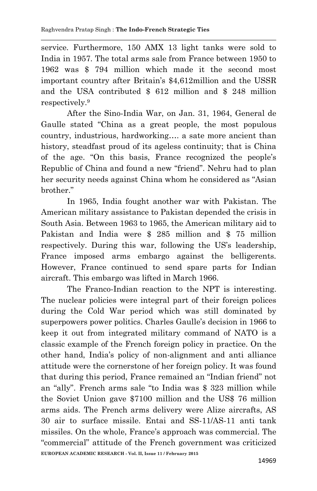service. Furthermore, 150 AMX 13 light tanks were sold to India in 1957. The total arms sale from France between 1950 to 1962 was \$ 794 million which made it the second most important country after Britain's \$4,612million and the USSR and the USA contributed \$ 612 million and \$ 248 million respectively.<sup>9</sup>

 After the Sino-India War, on Jan. 31, 1964, General de Gaulle stated "China as a great people, the most populous country, industrious, hardworking…. a sate more ancient than history, steadfast proud of its ageless continuity; that is China of the age. "On this basis, France recognized the people's Republic of China and found a new "friend". Nehru had to plan her security needs against China whom he considered as "Asian brother."

 In 1965, India fought another war with Pakistan. The American military assistance to Pakistan depended the crisis in South Asia. Between 1963 to 1965, the American military aid to Pakistan and India were \$ 285 million and \$ 75 million respectively. During this war, following the US's leadership, France imposed arms embargo against the belligerents. However, France continued to send spare parts for Indian aircraft. This embargo was lifted in March 1966.

**EUROPEAN ACADEMIC RESEARCH - Vol. II, Issue 11 / February 2015** The Franco-Indian reaction to the NPT is interesting. The nuclear policies were integral part of their foreign polices during the Cold War period which was still dominated by superpowers power politics. Charles Gaulle's decision in 1966 to keep it out from integrated military command of NATO is a classic example of the French foreign policy in practice. On the other hand, India's policy of non-alignment and anti alliance attitude were the cornerstone of her foreign policy. It was found that during this period, France remained an "Indian friend" not an "ally". French arms sale "to India was \$ 323 million while the Soviet Union gave \$7100 million and the US\$ 76 million arms aids. The French arms delivery were Alize aircrafts, AS 30 air to surface missile. Entai and SS-11/AS-11 anti tank missiles. On the whole, France's approach was commercial. The "commercial" attitude of the French government was criticized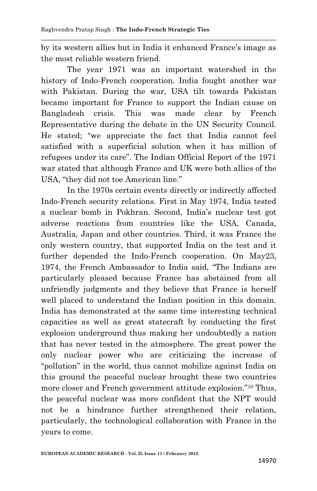by its western allies but in India it enhanced France's image as the most reliable western friend.

 The year 1971 was an important watershed in the history of Indo-French cooperation. India fought another war with Pakistan. During the war, USA tilt towards Pakistan became important for France to support the Indian cause on Bangladesh crisis. This was made clear by French Representative during the debate in the UN Security Council. He stated; "we appreciate the fact that India cannot feel satisfied with a superficial solution when it has million of refugees under its care". The Indian Official Report of the 1971 war stated that although France and UK were both allies of the USA, "they did not toe American line."

 In the 1970s certain events directly or indirectly affected Indo-French security relations. First in May 1974, India tested a nuclear bomb in Pokhran. Second, India's nuclear test got adverse reactions from countries like the USA, Canada, Australia, Japan and other countries. Third, it was France the only western country, that supported India on the test and it further depended the Indo-French cooperation. On May23, 1974, the French Ambassador to India said, "The Indians are particularly pleased because France has abstained from all unfriendly judgments and they believe that France is herself well placed to understand the Indian position in this domain. India has demonstrated at the same time interesting technical capacities as well as great statecraft by conducting the first explosion underground thus making her undoubtedly a nation that has never tested in the atmosphere. The great power the only nuclear power who are criticizing the increase of "pollution" in the world, thus cannot mobilize against India on this ground the peaceful nuclear brought these two countries more closer and French government attitude explosion."<sup>10</sup> Thus, the peaceful nuclear was more confident that the NPT would not be a hindrance further strengthened their relation, particularly, the technological collaboration with France in the years to come.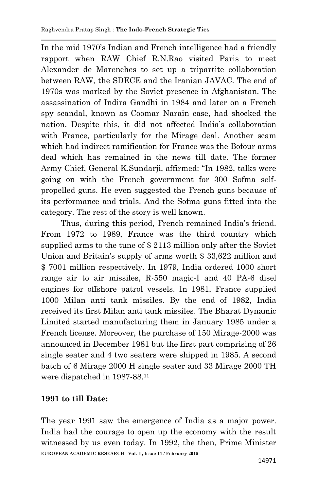In the mid 1970's Indian and French intelligence had a friendly rapport when RAW Chief R.N.Rao visited Paris to meet Alexander de Marenches to set up a tripartite collaboration between RAW, the SDECE and the Iranian JAVAC. The end of 1970s was marked by the Soviet presence in Afghanistan. The assassination of Indira Gandhi in 1984 and later on a French spy scandal, known as Coomar Narain case, had shocked the nation. Despite this, it did not affected India's collaboration with France, particularly for the Mirage deal. Another scam which had indirect ramification for France was the Bofour arms deal which has remained in the news till date. The former Army Chief, General K.Sundarji, affirmed: "In 1982, talks were going on with the French government for 300 Sofma selfpropelled guns. He even suggested the French guns because of its performance and trials. And the Sofma guns fitted into the category. The rest of the story is well known.

 Thus, during this period, French remained India's friend. From 1972 to 1989, France was the third country which supplied arms to the tune of \$ 2113 million only after the Soviet Union and Britain's supply of arms worth \$ 33,622 million and \$ 7001 million respectively. In 1979, India ordered 1000 short range air to air missiles, R-550 magic-I and 40 PA-6 disel engines for offshore patrol vessels. In 1981, France supplied 1000 Milan anti tank missiles. By the end of 1982, India received its first Milan anti tank missiles. The Bharat Dynamic Limited started manufacturing them in January 1985 under a French license. Moreover, the purchase of 150 Mirage-2000 was announced in December 1981 but the first part comprising of 26 single seater and 4 two seaters were shipped in 1985. A second batch of 6 Mirage 2000 H single seater and 33 Mirage 2000 TH were dispatched in 1987-88.<sup>11</sup>

### **1991 to till Date:**

**EUROPEAN ACADEMIC RESEARCH - Vol. II, Issue 11 / February 2015** The year 1991 saw the emergence of India as a major power. India had the courage to open up the economy with the result witnessed by us even today. In 1992, the then, Prime Minister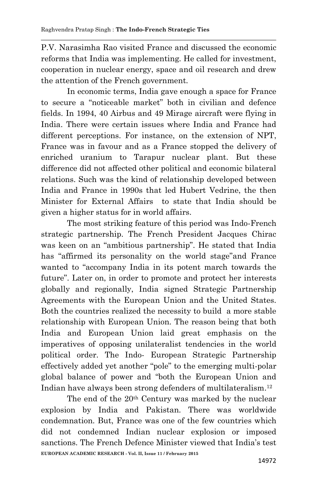P.V. Narasimha Rao visited France and discussed the economic reforms that India was implementing. He called for investment, cooperation in nuclear energy, space and oil research and drew the attention of the French government.

 In economic terms, India gave enough a space for France to secure a "noticeable market" both in civilian and defence fields. In 1994, 40 Airbus and 49 Mirage aircraft were flying in India. There were certain issues where India and France had different perceptions. For instance, on the extension of NPT. France was in favour and as a France stopped the delivery of enriched uranium to Tarapur nuclear plant. But these difference did not affected other political and economic bilateral relations. Such was the kind of relationship developed between India and France in 1990s that led Hubert Vedrine, the then Minister for External Affairs to state that India should be given a higher status for in world affairs.

 The most striking feature of this period was Indo-French strategic partnership. The French President Jacques Chirac was keen on an "ambitious partnership". He stated that India has "affirmed its personality on the world stage"and France wanted to "accompany India in its potent march towards the future". Later on, in order to promote and protect her interests globally and regionally, India signed Strategic Partnership Agreements with the European Union and the United States. Both the countries realized the necessity to build a more stable relationship with European Union. The reason being that both India and European Union laid great emphasis on the imperatives of opposing unilateralist tendencies in the world political order. The Indo- European Strategic Partnership effectively added yet another "pole" to the emerging multi-polar global balance of power and "both the European Union and Indian have always been strong defenders of multilateralism. 12

**EUROPEAN ACADEMIC RESEARCH - Vol. II, Issue 11 / February 2015** The end of the 20th Century was marked by the nuclear explosion by India and Pakistan. There was worldwide condemnation. But, France was one of the few countries which did not condemned Indian nuclear explosion or imposed sanctions. The French Defence Minister viewed that India's test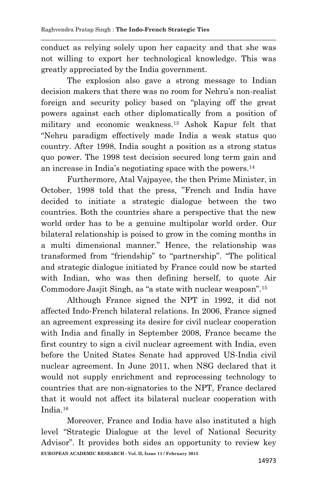conduct as relying solely upon her capacity and that she was not willing to export her technological knowledge. This was greatly appreciated by the India government.

 The explosion also gave a strong message to Indian decision makers that there was no room for Nehru's non-realist foreign and security policy based on "playing off the great powers against each other diplomatically from a position of military and economic weakness.<sup>13</sup> Ashok Kapur felt that "Nehru paradigm effectively made India a weak status quo country. After 1998, India sought a position as a strong status quo power. The 1998 test decision secured long term gain and an increase in India's negotiating space with the powers.<sup>14</sup>

 Furthermore, Atal Vajpayee, the then Prime Minister, in October, 1998 told that the press, "French and India have decided to initiate a strategic dialogue between the two countries. Both the countries share a perspective that the new world order has to be a genuine multipolar world order. Our bilateral relationship is poised to grow in the coming months in a multi dimensional manner." Hence, the relationship was transformed from "friendship" to "partnership". "The political and strategic dialogue initiated by France could now be started with Indian, who was then defining herself, to quote Air Commodore Jasjit Singh, as "a state with nuclear weaposn".<sup>15</sup>

 Although France signed the NPT in 1992, it did not affected Indo-French bilateral relations. In 2006, France signed an agreement expressing its desire for civil nuclear cooperation with India and finally in September 2008, France became the first country to sign a civil nuclear agreement with India, even before the United States Senate had approved US-India civil nuclear agreement. In June 2011, when NSG declared that it would not supply enrichment and reprocessing technology to countries that are non-signatories to the NPT, France declared that it would not affect its bilateral nuclear cooperation with India.<sup>16</sup>

**EUROPEAN ACADEMIC RESEARCH - Vol. II, Issue 11 / February 2015** Moreover, France and India have also instituted a high level "Strategic Dialogue at the level of National Security Advisor". It provides both sides an opportunity to review key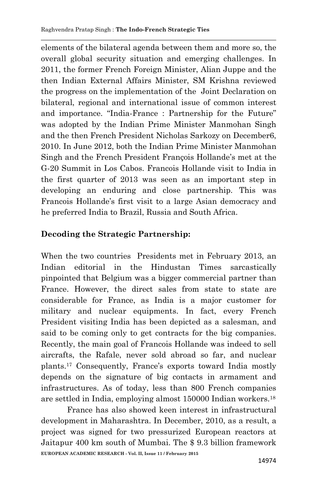elements of the bilateral agenda between them and more so, the overall global security situation and emerging challenges. In 2011, the former French Foreign Minister, Alian Juppe and the then Indian External Affairs Minister, SM Krishna reviewed the progress on the implementation of the Joint Declaration on bilateral, regional and international issue of common interest and importance. "India-France : Partnership for the Future" was adopted by the Indian Prime Minister Manmohan Singh and the then French President Nicholas Sarkozy on December6, 2010. In June 2012, both the Indian Prime Minister Manmohan Singh and the French President François Hollande's met at the G-20 Summit in Los Cabos. Francois Hollande visit to India in the first quarter of 2013 was seen as an important step in developing an enduring and close partnership. This was Francois Hollande's first visit to a large Asian democracy and he preferred India to Brazil, Russia and South Africa.

# **Decoding the Strategic Partnership:**

When the two countries Presidents met in February 2013, an Indian editorial in the Hindustan Times sarcastically pinpointed that Belgium was a bigger commercial partner than France. However, the direct sales from state to state are considerable for France, as India is a major customer for military and nuclear equipments. In fact, every French President visiting India has been depicted as a salesman, and said to be coming only to get contracts for the big companies. Recently, the main goal of Francois Hollande was indeed to sell aircrafts, the Rafale, never sold abroad so far, and nuclear plants.<sup>17</sup> Consequently, France's exports toward India mostly depends on the signature of big contacts in armament and infrastructures. As of today, less than 800 French companies are settled in India, employing almost 150000 Indian workers.<sup>18</sup>

**EUROPEAN ACADEMIC RESEARCH - Vol. II, Issue 11 / February 2015** France has also showed keen interest in infrastructural development in Maharashtra. In December, 2010, as a result, a project was signed for two pressurized European reactors at Jaitapur 400 km south of Mumbai. The \$ 9.3 billion framework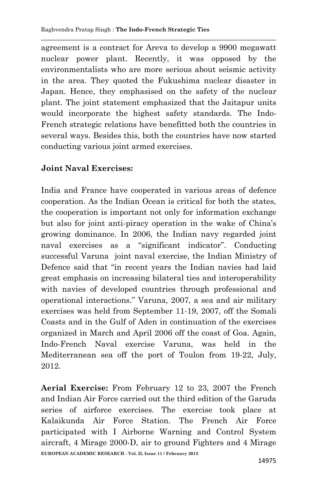agreement is a contract for Areva to develop a 9900 megawatt nuclear power plant. Recently, it was opposed by the environmentalists who are more serious about seismic activity in the area. They quoted the Fukushima nuclear disaster in Japan. Hence, they emphasised on the safety of the nuclear plant. The joint statement emphasized that the Jaitapur units would incorporate the highest safety standards. The Indo-French strategic relations have benefitted both the countries in several ways. Besides this, both the countries have now started conducting various joint armed exercises.

### **Joint Naval Exercises:**

India and France have cooperated in various areas of defence cooperation. As the Indian Ocean is critical for both the states, the cooperation is important not only for information exchange but also for joint anti-piracy operation in the wake of China's growing dominance. In 2006, the Indian navy regarded joint naval exercises as a "significant indicator". Conducting successful Varuna joint naval exercise, the Indian Ministry of Defence said that "in recent years the Indian navies had laid great emphasis on increasing bilateral ties and interoperability with navies of developed countries through professional and operational interactions." Varuna, 2007, a sea and air military exercises was held from September 11-19, 2007, off the Somali Coasts and in the Gulf of Aden in continuation of the exercises organized in March and April 2006 off the coast of Goa. Again, Indo-French Naval exercise Varuna, was held in the Mediterranean sea off the port of Toulon from 19-22, July, 2012.

**EUROPEAN ACADEMIC RESEARCH - Vol. II, Issue 11 / February 2015 Aerial Exercise:** From February 12 to 23, 2007 the French and Indian Air Force carried out the third edition of the Garuda series of airforce exercises. The exercise took place at Kalaikunda Air Force Station. The French Air Force participated with I Airborne Warning and Control System aircraft, 4 Mirage 2000-D, air to ground Fighters and 4 Mirage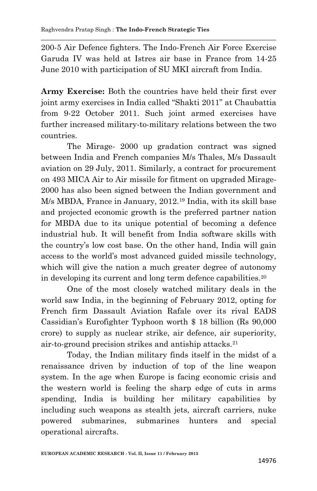200-5 Air Defence fighters. The Indo-French Air Force Exercise Garuda IV was held at Istres air base in France from 14-25 June 2010 with participation of SU MKI aircraft from India.

**Army Exercise:** Both the countries have held their first ever joint army exercises in India called "Shakti 2011" at Chaubattia from 9-22 October 2011. Such joint armed exercises have further increased military-to-military relations between the two countries.

 The Mirage- 2000 up gradation contract was signed between India and French companies M/s Thales, M/s Dassault aviation on 29 July, 2011. Similarly, a contract for procurement on 493 MICA Air to Air missile for fitment on upgraded Mirage-2000 has also been signed between the Indian government and M/s MBDA, France in January, 2012.<sup>19</sup> India, with its skill base and projected economic growth is the preferred partner nation for MBDA due to its unique potential of becoming a defence industrial hub. It will benefit from India software skills with the country's low cost base. On the other hand, India will gain access to the world's most advanced guided missile technology, which will give the nation a much greater degree of autonomy in developing its current and long term defence capabilities.<sup>20</sup>

 One of the most closely watched military deals in the world saw India, in the beginning of February 2012, opting for French firm Dassault Aviation Rafale over its rival EADS Cassidian's Eurofighter Typhoon worth \$ 18 billion (Rs 90,000 crore) to supply as nuclear strike, air defence, air superiority, air-to-ground precision strikes and antiship attacks.<sup>21</sup>

 Today, the Indian military finds itself in the midst of a renaissance driven by induction of top of the line weapon system. In the age when Europe is facing economic crisis and the western world is feeling the sharp edge of cuts in arms spending, India is building her military capabilities by including such weapons as stealth jets, aircraft carriers, nuke powered submarines, submarines hunters and special operational aircrafts.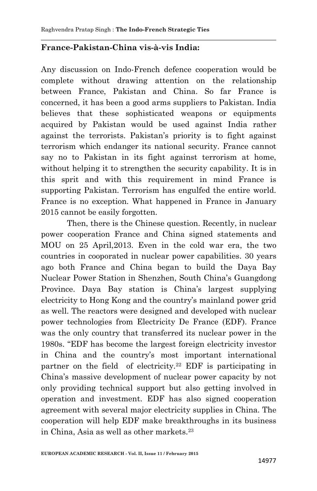### **France-Pakistan-China vis-à-vis India:**

Any discussion on Indo-French defence cooperation would be complete without drawing attention on the relationship between France, Pakistan and China. So far France is concerned, it has been a good arms suppliers to Pakistan. India believes that these sophisticated weapons or equipments acquired by Pakistan would be used against India rather against the terrorists. Pakistan's priority is to fight against terrorism which endanger its national security. France cannot say no to Pakistan in its fight against terrorism at home, without helping it to strengthen the security capability. It is in this sprit and with this requirement in mind France is supporting Pakistan. Terrorism has engulfed the entire world. France is no exception. What happened in France in January 2015 cannot be easily forgotten.

 Then, there is the Chinese question. Recently, in nuclear power cooperation France and China signed statements and MOU on 25 April,2013. Even in the cold war era, the two countries in cooporated in nuclear power capabilities. 30 years ago both France and China began to build the Daya Bay Nuclear Power Station in Shenzhen, South China's Guangdong Province. Daya Bay station is China's largest supplying electricity to Hong Kong and the country's mainland power grid as well. The reactors were designed and developed with nuclear power technologies from Electricity De France (EDF). France was the only country that transferred its nuclear power in the 1980s. "EDF has become the largest foreign electricity investor in China and the country's most important international partner on the field of electricity.<sup>22</sup> EDF is participating in China's massive development of nuclear power capacity by not only providing technical support but also getting involved in operation and investment. EDF has also signed cooperation agreement with several major electricity supplies in China. The cooperation will help EDF make breakthroughs in its business in China, Asia as well as other markets.23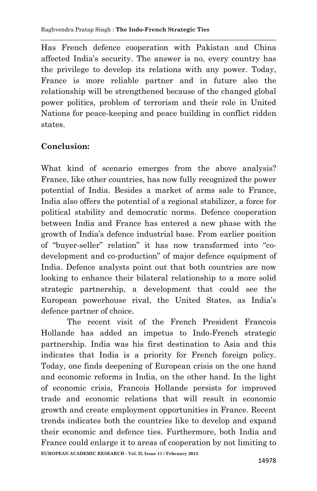Has French defence cooperation with Pakistan and China affected India's security. The answer is no, every country has the privilege to develop its relations with any power. Today, France is more reliable partner and in future also the relationship will be strengthened because of the changed global power politics, problem of terrorism and their role in United Nations for peace-keeping and peace building in conflict ridden states.

# **Conclusion:**

What kind of scenario emerges from the above analysis? France, like other countries, has now fully recognized the power potential of India. Besides a market of arms sale to France, India also offers the potential of a regional stabilizer, a force for political stability and democratic norms. Defence cooperation between India and France has entered a new phase with the growth of India's defence industrial base. From earlier position of "buyer-seller" relation" it has now transformed into "codevelopment and co-production" of major defence equipment of India. Defence analysts point out that both countries are now looking to enhance their bilateral relationship to a more solid strategic partnership, a development that could see the European powerhouse rival, the United States, as India's defence partner of choice.

**EUROPEAN ACADEMIC RESEARCH - Vol. II, Issue 11 / February 2015** The recent visit of the French President Francois Hollande has added an impetus to Indo-French strategic partnership. India was his first destination to Asia and this indicates that India is a priority for French foreign policy. Today, one finds deepening of European crisis on the one hand and economic reforms in India, on the other hand. In the light of economic crisis, Francois Hollande persists for improved trade and economic relations that will result in economic growth and create employment opportunities in France. Recent trends indicates both the countries like to develop and expand their economic and defence ties. Furthermore, both India and France could enlarge it to areas of cooperation by not limiting to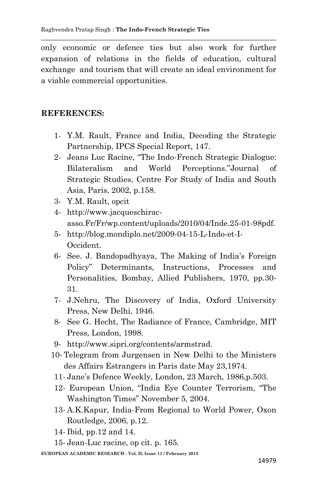only economic or defence ties but also work for further expansion of relations in the fields of education, cultural exchange and tourism that will create an ideal environment for a viable commercial opportunities.

### **REFERENCES:**

- 1- Y.M. Rault, France and India, Decoding the Strategic Partnership, IPCS Special Report, 147.
- 2- Jeans Luc Racine, "The Indo-French Strategic Dialogue: Bilateralism and World Perceptions."Journal of Strategic Studies, Centre For Study of India and South Asia, Paris, 2002, p.158.
- 3- Y.M. Rault, opcit
- 4- http://www.jacqueschiracasso.Fr/Fr/wp.content/uploads/2010/04/Inde.25-01-98pdf.
- 5- http://blog.mondiplo.net/2009-04-15-L-Indo-et-I-Occident.
- 6- See. J. Bandopadhyaya, The Making of India's Foreign Policy" Determinants, Instructions, Processes and Personalities, Bombay, Allied Publishers, 1970, pp.30- 31.
- 7- J.Nehru, The Discovery of India, Oxford University Press, New Delhi, 1946.
- 8- See G. Hecht, The Radiance of France, Cambridge, MIT Press, London, 1998.
- 9- http://www.sipri.org/contents/armstrad.
- 10- Telegram from Jurgensen in New Delhi to the Ministers des Affairs Estrangers in Paris date May 23,1974.
- 11- Jane's Defence Weekly, London, 23 March, 1986,p.503.
- 12- European Union, "India Eye Counter Terrorism, "The Washington Times" November 5, 2004.
- 13- A.K.Kapur, India-From Regional to World Power, Oxon Routledge, 2006, p.12.
- 14- Ibid, pp.12 and 14.
- 15- Jean-Luc racine, op cit. p. 165.

**EUROPEAN ACADEMIC RESEARCH - Vol. II, Issue 11 / February 2015**